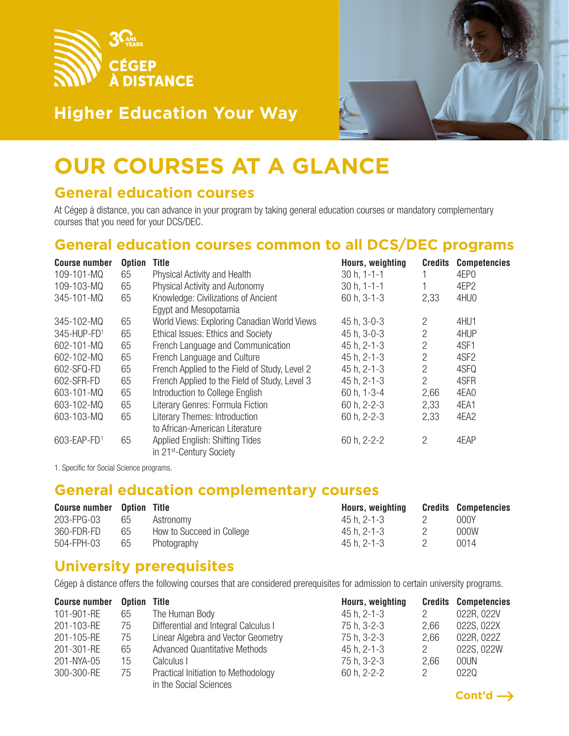



# **OUR COURSES AT A GLANCE**

#### **General education courses**

At Cégep à distance, you can advance in your program by taking general education courses or mandatory complementary courses that you need for your DCS/DEC.

### **General education courses common to all DCS/DEC programs**

| <b>Course number</b> | <b>Option</b> | <b>Title</b>                                  | Hours, weighting  | <b>Credits</b> | <b>Competencies</b> |
|----------------------|---------------|-----------------------------------------------|-------------------|----------------|---------------------|
| 109-101-MQ           | 65            | <b>Physical Activity and Health</b>           | $30 h, 1 - 1 - 1$ |                | 4EP <sub>0</sub>    |
| 109-103-MQ           | 65            | <b>Physical Activity and Autonomy</b>         | $30 h, 1 - 1 - 1$ |                | 4EP2                |
| 345-101-MQ           | 65            | Knowledge: Civilizations of Ancient           | 60 h, 3-1-3       | 2,33           | 4HU0                |
|                      |               | Egypt and Mesopotamia                         |                   |                |                     |
| 345-102-MQ           | 65            | World Views: Exploring Canadian World Views   | 45 h, 3-0-3       | 2              | 4HU1                |
| 345-HUP-FD1          | 65            | Ethical Issues: Ethics and Society            | 45 h, 3-0-3       | $\overline{2}$ | 4HUP                |
| 602-101-MQ           | 65            | French Language and Communication             | 45 h, 2-1-3       | $\overline{2}$ | 4SF1                |
| 602-102-MQ           | 65            | French Language and Culture                   | 45 h, 2-1-3       | $\overline{c}$ | 4SF <sub>2</sub>    |
| 602-SFQ-FD           | 65            | French Applied to the Field of Study, Level 2 | 45 h, 2-1-3       | $\overline{2}$ | 4SFQ                |
| 602-SFR-FD           | 65            | French Applied to the Field of Study, Level 3 | 45 h, 2-1-3       | $\overline{2}$ | 4SFR                |
| 603-101-MQ           | 65            | Introduction to College English               | 60 h, 1-3-4       | 2,66           | 4EA0                |
| 603-102-MQ           | 65            | Literary Genres: Formula Fiction              | 60 h, 2-2-3       | 2,33           | 4EA1                |
| 603-103-MQ           | 65            | <b>Literary Themes: Introduction</b>          | 60 h, 2-2-3       | 2,33           | 4EA2                |
|                      |               | to African-American Literature                |                   |                |                     |
| 603-EAP-FD1          | 65            | <b>Applied English: Shifting Tides</b>        | 60 h, 2-2-2       | $\mathcal{P}$  | 4EAP                |
|                      |               | in 21 <sup>st</sup> -Century Society          |                   |                |                     |

1. Specific for Social Science programs.

#### **General education complementary courses**

| <b>Course number</b> Option Title |    |                           | Hours, weighting | <b>Credits Competencies</b> |
|-----------------------------------|----|---------------------------|------------------|-----------------------------|
| 203-FPG-03                        | 65 | Astronomy                 | 45 h. 2-1-3      | 000Y                        |
| 360-FDR-FD                        | 65 | How to Succeed in College | 45 h. 2-1-3      | 000W                        |
| 504-FPH-03                        | 65 | Photography               | 45 h. 2-1-3      | 0014                        |

#### **University prerequisites**

Cégep à distance offers the following courses that are considered prerequisites for admission to certain university programs.

| <b>Course number</b> | <b>Option Title</b> |                                      | Hours, weighting |      | <b>Credits Competencies</b> |
|----------------------|---------------------|--------------------------------------|------------------|------|-----------------------------|
| 101-901-RE           | 65                  | The Human Body                       | 45 h, 2-1-3      |      | 022R, 022V                  |
| 201-103-RE           | 75                  | Differential and Integral Calculus I | 75 h, 3-2-3      | 2.66 | 022S, 022X                  |
| 201-105-RE           | 75                  | Linear Algebra and Vector Geometry   | 75 h, 3-2-3      | 2,66 | 022R, 022Z                  |
| 201-301-RE           | 65                  | <b>Advanced Quantitative Methods</b> | 45 h, 2-1-3      | 2    | 022S, 022W                  |
| 201-NYA-05           | 15                  | Calculus I                           | 75 h, 3-2-3      | 2,66 | 00UN                        |
| 300-300-RE           | 75                  | Practical Initiation to Methodology  | 60 h, 2-2-2      | 2    | 0220                        |
|                      |                     | in the Social Sciences               |                  |      |                             |